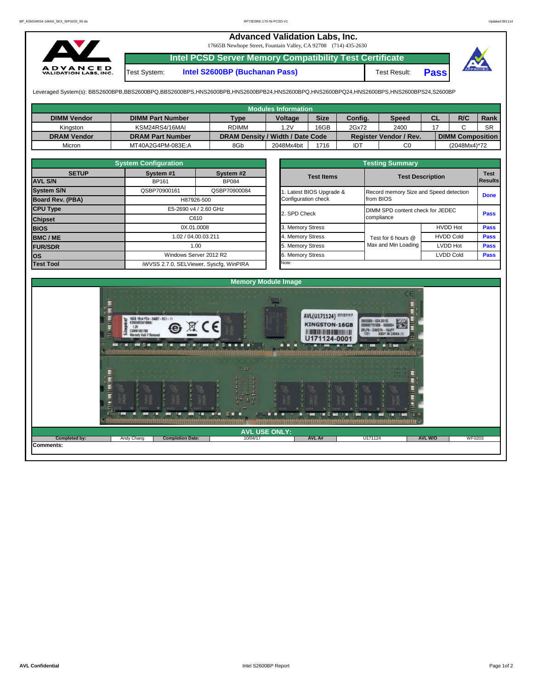## **Advanced Validation Labs, Inc.**

17665B Newhope Street, Fountain Valley, CA 92708 (714) 435-2630



**Intel PCSD Server Memory Compatibility Test Certificate**

Test System: **Intel S2600BP (Buchanan Pass)** Test Result: **Pass**



Leveraged System(s): BBS2600BPB,BBS2600BPQ,BBS2600BPS,HNS2600BPB,HNS2600BPB24,HNS2600BPQ,HNS2600BPQ24,HNS2600BPS,HNS2600BPS24,S2600BP

| Modules Information |                         |                                  |                |             |            |                               |           |                         |             |  |  |  |  |
|---------------------|-------------------------|----------------------------------|----------------|-------------|------------|-------------------------------|-----------|-------------------------|-------------|--|--|--|--|
| <b>DIMM Vendor</b>  | <b>DIMM Part Number</b> | <b>Type</b>                      | <b>Voltage</b> | <b>Size</b> | Config.    | <b>Speed</b>                  | <b>CL</b> | R/C                     | <b>Rank</b> |  |  |  |  |
| Kinaston            | KSM24RS4/16MAI          | <b>RDIMM</b>                     | 1.2V           | 16GB        | 2Gx72      | 2400                          |           |                         | <b>SR</b>   |  |  |  |  |
| <b>DRAM Vendor</b>  | <b>DRAM Part Number</b> | DRAM Density / Width / Date Code |                |             |            | <b>Register Vendor / Rev.</b> |           | <b>DIMM Composition</b> |             |  |  |  |  |
| Micron              | MT40A2G4PM-083E:A       | 8Gb                              | 2048Mx4bit     | 1716        | <b>IDT</b> | C0                            |           | (2048Mx4)*72            |             |  |  |  |  |

|                                | <b>System Configuration</b>   |                                         |                  |                         | <b>Testing Summary</b>                 |                                  |                        |  |  |  |
|--------------------------------|-------------------------------|-----------------------------------------|------------------|-------------------------|----------------------------------------|----------------------------------|------------------------|--|--|--|
| <b>SETUP</b><br><b>AVL S/N</b> | System #1<br><b>BP161</b>     | System #2<br><b>BP084</b>               |                  | <b>Test Items</b>       | <b>Test Description</b>                |                                  | <b>Test</b><br>Results |  |  |  |
| <b>System S/N</b>              | QSBP70900161                  | QSBP70900084                            |                  | . Latest BIOS Upgrade & | Record memory Size and Speed detection |                                  | <b>Done</b>            |  |  |  |
| <b>Board Rev. (PBA)</b>        | H87926-500                    |                                         |                  | Configuration check     | from BIOS                              |                                  |                        |  |  |  |
| <b>CPU Type</b>                | E5-2690 v4 / 2.60 GHz<br>C610 |                                         |                  | 2. SPD Check            |                                        | DIMM SPD content check for JEDEC |                        |  |  |  |
| <b>Chipset</b>                 |                               |                                         |                  |                         | compliance                             | <b>Pass</b>                      |                        |  |  |  |
| <b>BIOS</b>                    |                               | 0X.01.0008                              |                  | 3. Memory Stress        |                                        | <b>HVDD Hot</b>                  | <b>Pass</b>            |  |  |  |
| <b>BMC/ME</b>                  | 1.02 / 04.00.03.211<br>1.00   |                                         | 4. Memory Stress | Test for 6 hours @      | <b>HVDD Cold</b>                       | <b>Pass</b>                      |                        |  |  |  |
| <b>FUR/SDR</b>                 |                               |                                         |                  | 5. Memory Stress        | Max and Min Loading                    | LVDD Hot                         | <b>Pass</b>            |  |  |  |
| <b>los</b>                     |                               | Windows Server 2012 R2                  |                  | 6. Memory Stress        |                                        | <b>LVDD Cold</b>                 | <b>Pass</b>            |  |  |  |
| <b>Test Tool</b>               |                               | iWVSS 2.7.0, SELViewer, Syscfg, WinPIRA |                  | Note:                   |                                        |                                  |                        |  |  |  |